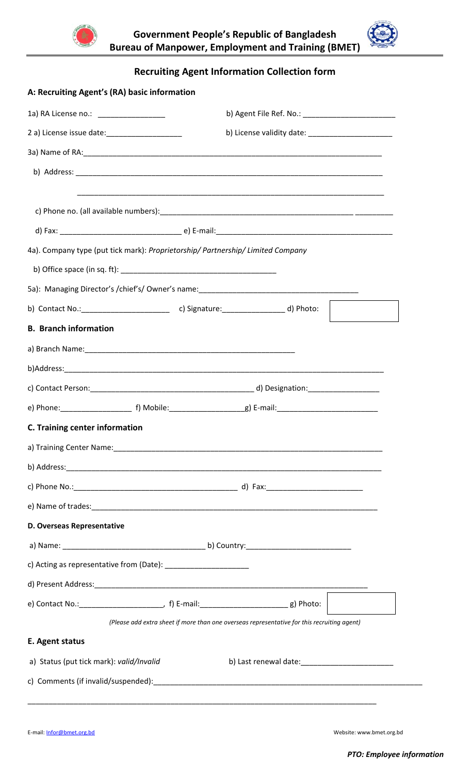



**Recruiting Agent Information Collection form**

| A: Recruiting Agent's (RA) basic information                        |                                                                                             |  |  |  |  |  |  |  |
|---------------------------------------------------------------------|---------------------------------------------------------------------------------------------|--|--|--|--|--|--|--|
| 1a) RA License no.: __________________                              |                                                                                             |  |  |  |  |  |  |  |
|                                                                     |                                                                                             |  |  |  |  |  |  |  |
|                                                                     |                                                                                             |  |  |  |  |  |  |  |
|                                                                     |                                                                                             |  |  |  |  |  |  |  |
|                                                                     |                                                                                             |  |  |  |  |  |  |  |
|                                                                     |                                                                                             |  |  |  |  |  |  |  |
|                                                                     | 4a). Company type (put tick mark): Proprietorship/ Partnership/ Limited Company             |  |  |  |  |  |  |  |
|                                                                     |                                                                                             |  |  |  |  |  |  |  |
|                                                                     |                                                                                             |  |  |  |  |  |  |  |
|                                                                     |                                                                                             |  |  |  |  |  |  |  |
| <b>B.</b> Branch information                                        |                                                                                             |  |  |  |  |  |  |  |
|                                                                     |                                                                                             |  |  |  |  |  |  |  |
|                                                                     |                                                                                             |  |  |  |  |  |  |  |
|                                                                     |                                                                                             |  |  |  |  |  |  |  |
|                                                                     |                                                                                             |  |  |  |  |  |  |  |
| C. Training center information                                      |                                                                                             |  |  |  |  |  |  |  |
|                                                                     |                                                                                             |  |  |  |  |  |  |  |
|                                                                     |                                                                                             |  |  |  |  |  |  |  |
|                                                                     |                                                                                             |  |  |  |  |  |  |  |
|                                                                     |                                                                                             |  |  |  |  |  |  |  |
| D. Overseas Representative                                          |                                                                                             |  |  |  |  |  |  |  |
|                                                                     |                                                                                             |  |  |  |  |  |  |  |
| c) Acting as representative from (Date): __________________________ |                                                                                             |  |  |  |  |  |  |  |
|                                                                     |                                                                                             |  |  |  |  |  |  |  |
|                                                                     |                                                                                             |  |  |  |  |  |  |  |
|                                                                     | (Please add extra sheet if more than one overseas representative for this recruiting agent) |  |  |  |  |  |  |  |
| E. Agent status                                                     |                                                                                             |  |  |  |  |  |  |  |
| a) Status (put tick mark): valid/Invalid                            |                                                                                             |  |  |  |  |  |  |  |
|                                                                     |                                                                                             |  |  |  |  |  |  |  |
|                                                                     |                                                                                             |  |  |  |  |  |  |  |